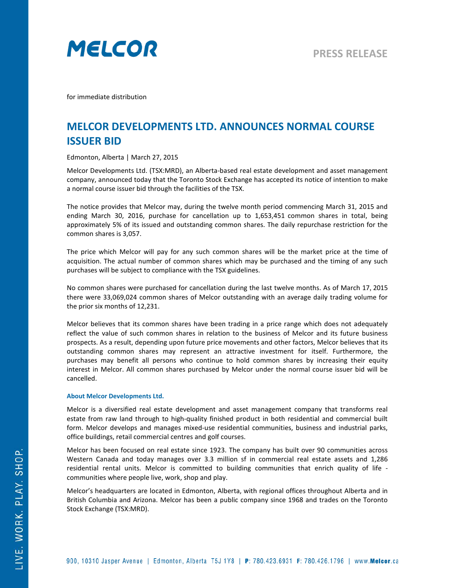

for immediate distribution

## **MELCOR DEVELOPMENTS LTD. ANNOUNCES NORMAL COURSE ISSUER BID**

Edmonton, Alberta | March 27, 2015

Melcor Developments Ltd. (TSX:MRD), an Alberta-based real estate development and asset management company, announced today that the Toronto Stock Exchange has accepted its notice of intention to make a normal course issuer bid through the facilities of the TSX.

The notice provides that Melcor may, during the twelve month period commencing March 31, 2015 and ending March 30, 2016, purchase for cancellation up to 1,653,451 common shares in total, being approximately 5% of its issued and outstanding common shares. The daily repurchase restriction for the common shares is 3,057.

The price which Melcor will pay for any such common shares will be the market price at the time of acquisition. The actual number of common shares which may be purchased and the timing of any such purchases will be subject to compliance with the TSX guidelines.

No common shares were purchased for cancellation during the last twelve months. As of March 17, 2015 there were 33,069,024 common shares of Melcor outstanding with an average daily trading volume for the prior six months of 12,231.

Melcor believes that its common shares have been trading in a price range which does not adequately reflect the value of such common shares in relation to the business of Melcor and its future business prospects. As a result, depending upon future price movements and other factors, Melcor believes that its outstanding common shares may represent an attractive investment for itself. Furthermore, the purchases may benefit all persons who continue to hold common shares by increasing their equity interest in Melcor. All common shares purchased by Melcor under the normal course issuer bid will be cancelled.

## **About Melcor Developments Ltd.**

Melcor is a diversified real estate development and asset management company that transforms real estate from raw land through to high-quality finished product in both residential and commercial built form. Melcor develops and manages mixed-use residential communities, business and industrial parks, office buildings, retail commercial centres and golf courses.

Melcor has been focused on real estate since 1923. The company has built over 90 communities across Western Canada and today manages over 3.3 million sf in commercial real estate assets and 1,286 residential rental units. Melcor is committed to building communities that enrich quality of life communities where people live, work, shop and play.

Melcor's headquarters are located in Edmonton, Alberta, with regional offices throughout Alberta and in British Columbia and Arizona. Melcor has been a public company since 1968 and trades on the Toronto Stock Exchange (TSX:MRD).